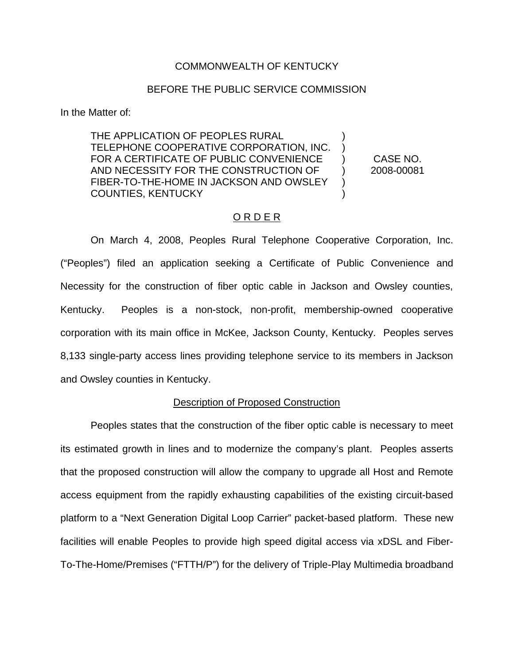# COMMONWEALTH OF KENTUCKY

# BEFORE THE PUBLIC SERVICE COMMISSION

In the Matter of:

THE APPLICATION OF PEOPLES RURAL TELEPHONE COOPERATIVE CORPORATION, INC. FOR A CERTIFICATE OF PUBLIC CONVENIENCE AND NECESSITY FOR THE CONSTRUCTION OF FIBER-TO-THE-HOME IN JACKSON AND OWSLEY COUNTIES, KENTUCKY ) ) ) ) ) )

CASE NO. 2008-00081

# ORDER

On March 4, 2008, Peoples Rural Telephone Cooperative Corporation, Inc. ("Peoples") filed an application seeking a Certificate of Public Convenience and Necessity for the construction of fiber optic cable in Jackson and Owsley counties, Kentucky. Peoples is a non-stock, non-profit, membership-owned cooperative corporation with its main office in McKee, Jackson County, Kentucky. Peoples serves 8,133 single-party access lines providing telephone service to its members in Jackson and Owsley counties in Kentucky.

### Description of Proposed Construction

Peoples states that the construction of the fiber optic cable is necessary to meet its estimated growth in lines and to modernize the company's plant. Peoples asserts that the proposed construction will allow the company to upgrade all Host and Remote access equipment from the rapidly exhausting capabilities of the existing circuit-based platform to a "Next Generation Digital Loop Carrier" packet-based platform. These new facilities will enable Peoples to provide high speed digital access via xDSL and Fiber-To-The-Home/Premises ("FTTH/P") for the delivery of Triple-Play Multimedia broadband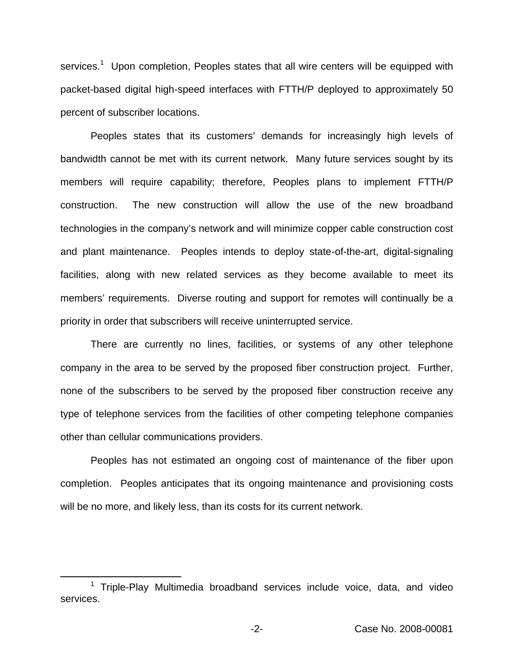services.<sup>1</sup> Upon completion, Peoples states that all wire centers will be equipped with packet-based digital high-speed interfaces with FTTH/P deployed to approximately 50 percent of subscriber locations.

Peoples states that its customers' demands for increasingly high levels of bandwidth cannot be met with its current network. Many future services sought by its members will require capability; therefore, Peoples plans to implement FTTH/P construction. The new construction will allow the use of the new broadband technologies in the company's network and will minimize copper cable construction cost and plant maintenance. Peoples intends to deploy state-of-the-art, digital-signaling facilities, along with new related services as they become available to meet its members' requirements. Diverse routing and support for remotes will continually be a priority in order that subscribers will receive uninterrupted service.

There are currently no lines, facilities, or systems of any other telephone company in the area to be served by the proposed fiber construction project. Further, none of the subscribers to be served by the proposed fiber construction receive any type of telephone services from the facilities of other competing telephone companies other than cellular communications providers.

Peoples has not estimated an ongoing cost of maintenance of the fiber upon completion. Peoples anticipates that its ongoing maintenance and provisioning costs will be no more, and likely less, than its costs for its current network.

 $1$  Triple-Play Multimedia broadband services include voice, data, and video services.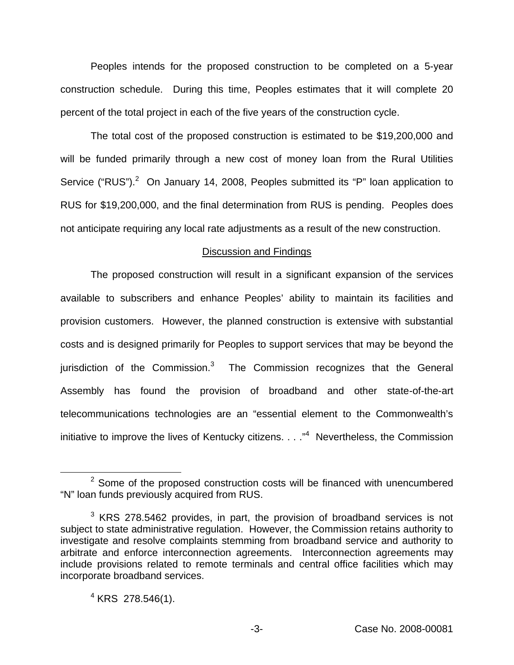Peoples intends for the proposed construction to be completed on a 5-year construction schedule. During this time, Peoples estimates that it will complete 20 percent of the total project in each of the five years of the construction cycle.

The total cost of the proposed construction is estimated to be \$19,200,000 and will be funded primarily through a new cost of money loan from the Rural Utilities Service ("RUS").<sup>2</sup> On January 14, 2008, Peoples submitted its "P" loan application to RUS for \$19,200,000, and the final determination from RUS is pending. Peoples does not anticipate requiring any local rate adjustments as a result of the new construction.

### Discussion and Findings

The proposed construction will result in a significant expansion of the services available to subscribers and enhance Peoples' ability to maintain its facilities and provision customers. However, the planned construction is extensive with substantial costs and is designed primarily for Peoples to support services that may be beyond the jurisdiction of the Commission. $3$  The Commission recognizes that the General Assembly has found the provision of broadband and other state-of-the-art telecommunications technologies are an "essential element to the Commonwealth's initiative to improve the lives of Kentucky citizens. . . .<sup>"4</sup> Nevertheless, the Commission

 $2$  Some of the proposed construction costs will be financed with unencumbered "N" loan funds previously acquired from RUS.

 $3$  KRS 278.5462 provides, in part, the provision of broadband services is not subject to state administrative regulation. However, the Commission retains authority to investigate and resolve complaints stemming from broadband service and authority to arbitrate and enforce interconnection agreements. Interconnection agreements may include provisions related to remote terminals and central office facilities which may incorporate broadband services.

 $4$  KRS 278.546(1).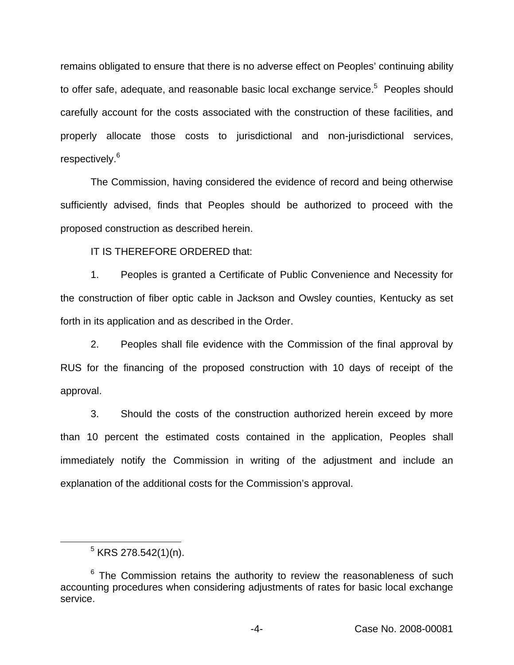remains obligated to ensure that there is no adverse effect on Peoples' continuing ability to offer safe, adequate, and reasonable basic local exchange service.<sup>5</sup> Peoples should carefully account for the costs associated with the construction of these facilities, and properly allocate those costs to jurisdictional and non-jurisdictional services, respectively.<sup>6</sup>

The Commission, having considered the evidence of record and being otherwise sufficiently advised, finds that Peoples should be authorized to proceed with the proposed construction as described herein.

IT IS THEREFORE ORDERED that:

1. Peoples is granted a Certificate of Public Convenience and Necessity for the construction of fiber optic cable in Jackson and Owsley counties, Kentucky as set forth in its application and as described in the Order.

2. Peoples shall file evidence with the Commission of the final approval by RUS for the financing of the proposed construction with 10 days of receipt of the approval.

3. Should the costs of the construction authorized herein exceed by more than 10 percent the estimated costs contained in the application, Peoples shall immediately notify the Commission in writing of the adjustment and include an explanation of the additional costs for the Commission's approval.

 $5$  KRS 278.542(1)(n).

 $6$  The Commission retains the authority to review the reasonableness of such accounting procedures when considering adjustments of rates for basic local exchange service.